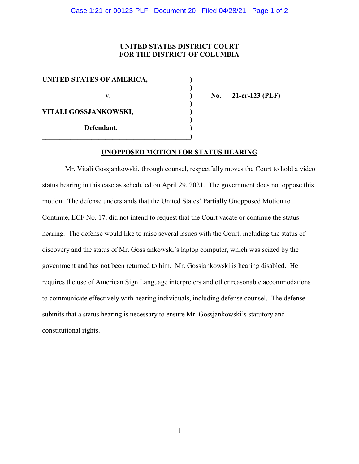## **UNITED STATES DISTRICT COURT FOR THE DISTRICT OF COLUMBIA**

| UNITED STATES OF AMERICA, |  |
|---------------------------|--|
| v.                        |  |
| VITALI GOSSJANKOWSKI,     |  |
| Defendant.                |  |

**v. ) No. 21-cr-123 (PLF)**

## **UNOPPOSED MOTION FOR STATUS HEARING**

Mr. Vitali Gossjankowski, through counsel, respectfully moves the Court to hold a video status hearing in this case as scheduled on April 29, 2021. The government does not oppose this motion. The defense understands that the United States' Partially Unopposed Motion to Continue, ECF No. 17, did not intend to request that the Court vacate or continue the status hearing. The defense would like to raise several issues with the Court, including the status of discovery and the status of Mr. Gossjankowski's laptop computer, which was seized by the government and has not been returned to him. Mr. Gossjankowski is hearing disabled. He requires the use of American Sign Language interpreters and other reasonable accommodations to communicate effectively with hearing individuals, including defense counsel. The defense submits that a status hearing is necessary to ensure Mr. Gossjankowski's statutory and constitutional rights.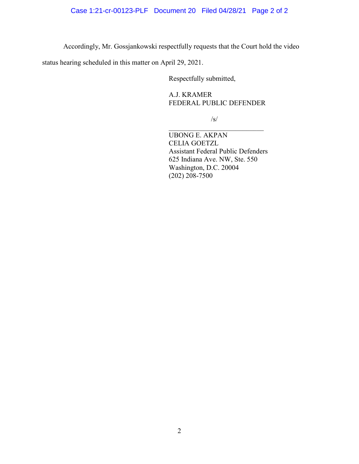Accordingly, Mr. Gossjankowski respectfully requests that the Court hold the video

status hearing scheduled in this matter on April 29, 2021.

Respectfully submitted,

A.J. KRAMER FEDERAL PUBLIC DEFENDER

/s/

UBONG E. AKPAN CELIA GOETZL Assistant Federal Public Defenders 625 Indiana Ave. NW, Ste. 550 Washington, D.C. 20004 (202) 208-7500